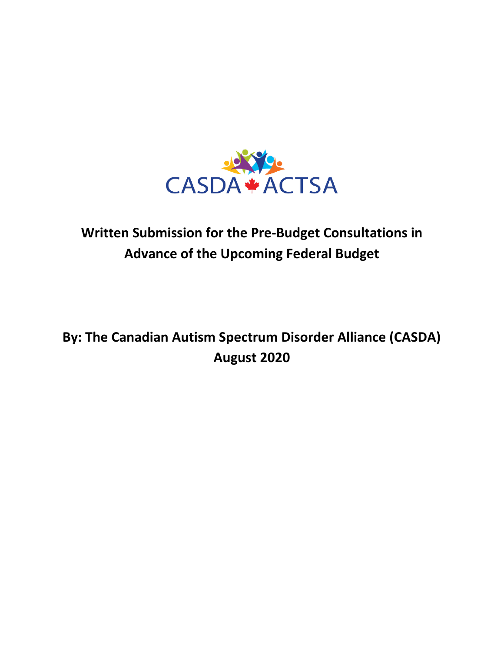

# **Written Submission for the Pre-Budget Consultations in Advance of the Upcoming Federal Budget**

# **By: The Canadian Autism Spectrum Disorder Alliance (CASDA) August 2020**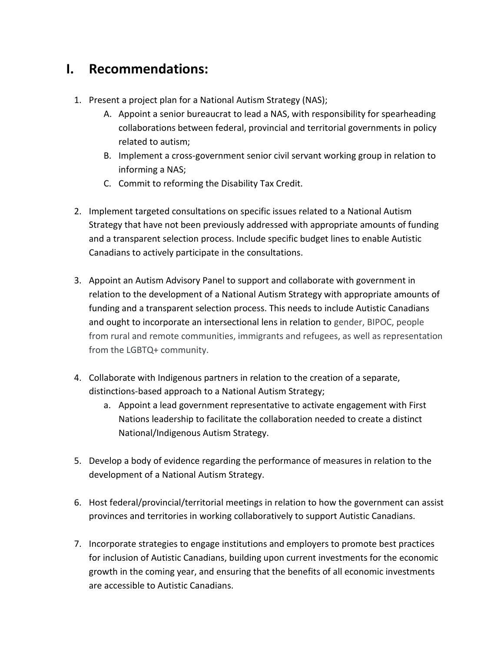#### **I. Recommendations:**

- 1. Present a project plan for a National Autism Strategy (NAS);
	- A. Appoint a senior bureaucrat to lead a NAS, with responsibility for spearheading collaborations between federal, provincial and territorial governments in policy related to autism;
	- B. Implement a cross-government senior civil servant working group in relation to informing a NAS;
	- C. Commit to reforming the Disability Tax Credit.
- 2. Implement targeted consultations on specific issues related to a National Autism Strategy that have not been previously addressed with appropriate amounts of funding and a transparent selection process. Include specific budget lines to enable Autistic Canadians to actively participate in the consultations.
- 3. Appoint an Autism Advisory Panel to support and collaborate with government in relation to the development of a National Autism Strategy with appropriate amounts of funding and a transparent selection process. This needs to include Autistic Canadians and ought to incorporate an intersectional lens in relation to gender, BIPOC, people from rural and remote communities, immigrants and refugees, as well as representation from the LGBTQ+ community.
- 4. Collaborate with Indigenous partners in relation to the creation of a separate, distinctions-based approach to a National Autism Strategy;
	- a. Appoint a lead government representative to activate engagement with First Nations leadership to facilitate the collaboration needed to create a distinct National/Indigenous Autism Strategy.
- 5. Develop a body of evidence regarding the performance of measures in relation to the development of a National Autism Strategy.
- 6. Host federal/provincial/territorial meetings in relation to how the government can assist provinces and territories in working collaboratively to support Autistic Canadians.
- 7. Incorporate strategies to engage institutions and employers to promote best practices for inclusion of Autistic Canadians, building upon current investments for the economic growth in the coming year, and ensuring that the benefits of all economic investments are accessible to Autistic Canadians.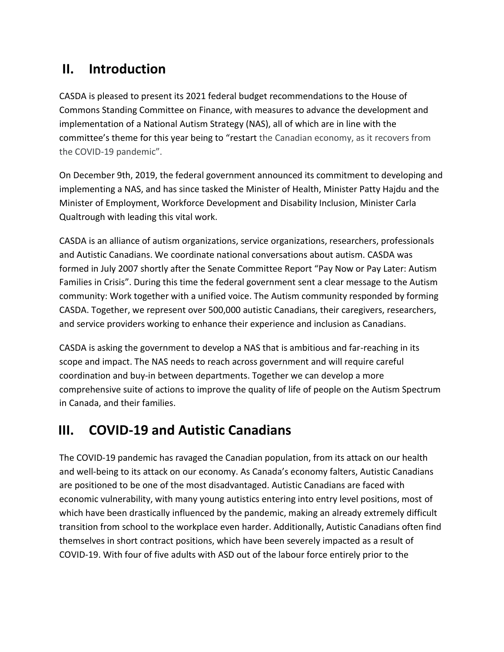### **II. Introduction**

CASDA is pleased to present its 2021 federal budget recommendations to the House of Commons Standing Committee on Finance, with measures to advance the development and implementation of a National Autism Strategy (NAS), all of which are in line with the committee's theme for this year being to "restart the Canadian economy, as it recovers from the COVID-19 pandemic".

On December 9th, 2019, the federal government announced its commitment to developing and implementing a NAS, and has since tasked the Minister of Health, Minister Patty Hajdu and the Minister of Employment, Workforce Development and Disability Inclusion, Minister Carla Qualtrough with leading this vital work.

CASDA is an alliance of autism organizations, service organizations, researchers, professionals and Autistic Canadians. We coordinate national conversations about autism. CASDA was formed in July 2007 shortly after the Senate Committee Report "Pay Now or Pay Later: Autism Families in Crisis". During this time the federal government sent a clear message to the Autism community: Work together with a unified voice. The Autism community responded by forming CASDA. Together, we represent over 500,000 autistic Canadians, their caregivers, researchers, and service providers working to enhance their experience and inclusion as Canadians.

CASDA is asking the government to develop a NAS that is ambitious and far-reaching in its scope and impact. The NAS needs to reach across government and will require careful coordination and buy-in between departments. Together we can develop a more comprehensive suite of actions to improve the quality of life of people on the Autism Spectrum in Canada, and their families.

### **III. COVID-19 and Autistic Canadians**

The COVID-19 pandemic has ravaged the Canadian population, from its attack on our health and well-being to its attack on our economy. As Canada's economy falters, Autistic Canadians are positioned to be one of the most disadvantaged. Autistic Canadians are faced with economic vulnerability, with many young autistics entering into entry level positions, most of which have been drastically influenced by the pandemic, making an already extremely difficult transition from school to the workplace even harder. Additionally, Autistic Canadians often find themselves in short contract positions, which have been severely impacted as a result of COVID-19. With four of five adults with ASD out of the labour force entirely prior to the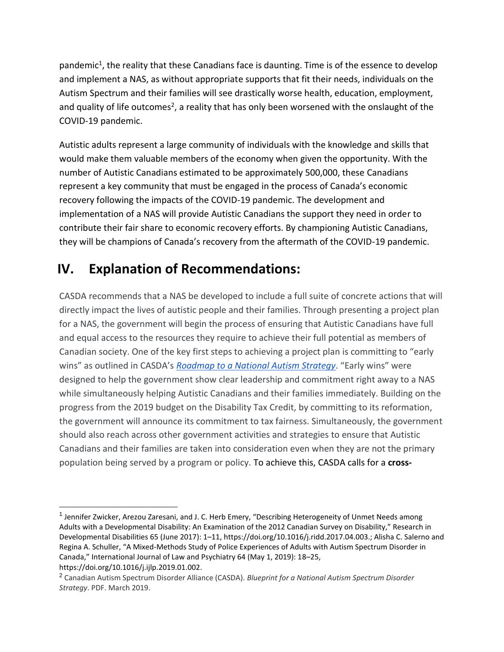pandemic<sup>1</sup>, the reality that these Canadians face is daunting. Time is of the essence to develop and implement a NAS, as without appropriate supports that fit their needs, individuals on the Autism Spectrum and their families will see drastically worse health, education, employment, and quality of life outcomes<sup>2</sup>, a reality that has only been worsened with the onslaught of the COVID-19 pandemic.

Autistic adults represent a large community of individuals with the knowledge and skills that would make them valuable members of the economy when given the opportunity. With the number of Autistic Canadians estimated to be approximately 500,000, these Canadians represent a key community that must be engaged in the process of Canada's economic recovery following the impacts of the COVID-19 pandemic. The development and implementation of a NAS will provide Autistic Canadians the support they need in order to contribute their fair share to economic recovery efforts. By championing Autistic Canadians, they will be champions of Canada's recovery from the aftermath of the COVID-19 pandemic.

### **IV. Explanation of Recommendations:**

CASDA recommends that a NAS be developed to include a full suite of concrete actions that will directly impact the lives of autistic people and their families. Through presenting a project plan for a NAS, the government will begin the process of ensuring that Autistic Canadians have full and equal access to the resources they require to achieve their full potential as members of Canadian society. One of the key first steps to achieving a project plan is committing to "early wins" as outlined in CASDA's *[Roadmap to a National Autism Strategy](https://www.casda.ca/wp-content/uploads/2020/03/Roadmap-to-a-National-Autism-Strategy_CASDA_March-2020.pdf)*. "Early wins" were designed to help the government show clear leadership and commitment right away to a NAS while simultaneously helping Autistic Canadians and their families immediately. Building on the progress from the 2019 budget on the Disability Tax Credit, by committing to its reformation, the government will announce its commitment to tax fairness. Simultaneously, the government should also reach across other government activities and strategies to ensure that Autistic Canadians and their families are taken into consideration even when they are not the primary population being served by a program or policy. To achieve this, CASDA calls for a **cross-**

<sup>&</sup>lt;sup>1</sup> Jennifer Zwicker, Arezou Zaresani, and J. C. Herb Emery, "Describing Heterogeneity of Unmet Needs among Adults with a Developmental Disability: An Examination of the 2012 Canadian Survey on Disability," Research in Developmental Disabilities 65 (June 2017): 1–11, https://doi.org/10.1016/j.ridd.2017.04.003.; Alisha C. Salerno and Regina A. Schuller, "A Mixed-Methods Study of Police Experiences of Adults with Autism Spectrum Disorder in Canada," International Journal of Law and Psychiatry 64 (May 1, 2019): 18–25, https://doi.org/10.1016/j.ijlp.2019.01.002.

<sup>2</sup> Canadian Autism Spectrum Disorder Alliance (CASDA). *Blueprint for a National Autism Spectrum Disorder Strategy*. PDF. March 2019.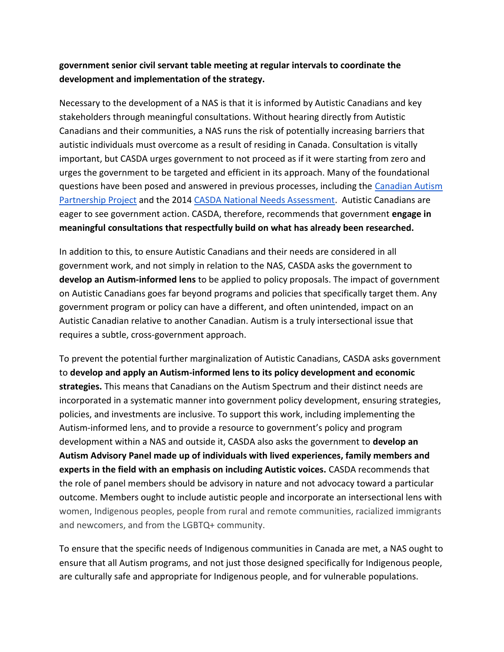#### **government senior civil servant table meeting at regular intervals to coordinate the development and implementation of the strategy.**

Necessary to the development of a NAS is that it is informed by Autistic Canadians and key stakeholders through meaningful consultations. Without hearing directly from Autistic Canadians and their communities, a NAS runs the risk of potentially increasing barriers that autistic individuals must overcome as a result of residing in Canada. Consultation is vitally important, but CASDA urges government to not proceed as if it were starting from zero and urges the government to be targeted and efficient in its approach. Many of the foundational questions have been posed and answered in previous processes, including the [Canadian Autism](https://www.casda.ca/capp/better-together-capp/)  [Partnership Project](https://www.casda.ca/capp/better-together-capp/) and the 2014 [CASDA National Needs Assessment.](https://www.casda.ca/wp-content/uploads/2019/02/NationalNeedsAssessmentSurvey_July-30.pdf) Autistic Canadians are eager to see government action. CASDA, therefore, recommends that government **engage in meaningful consultations that respectfully build on what has already been researched.** 

In addition to this, to ensure Autistic Canadians and their needs are considered in all government work, and not simply in relation to the NAS, CASDA asks the government to **develop an Autism-informed lens** to be applied to policy proposals. The impact of government on Autistic Canadians goes far beyond programs and policies that specifically target them. Any government program or policy can have a different, and often unintended, impact on an Autistic Canadian relative to another Canadian. Autism is a truly intersectional issue that requires a subtle, cross-government approach.

To prevent the potential further marginalization of Autistic Canadians, CASDA asks government to **develop and apply an Autism-informed lens to its policy development and economic strategies.** This means that Canadians on the Autism Spectrum and their distinct needs are incorporated in a systematic manner into government policy development, ensuring strategies, policies, and investments are inclusive. To support this work, including implementing the Autism-informed lens, and to provide a resource to government's policy and program development within a NAS and outside it, CASDA also asks the government to **develop an Autism Advisory Panel made up of individuals with lived experiences, family members and experts in the field with an emphasis on including Autistic voices.** CASDA recommends that the role of panel members should be advisory in nature and not advocacy toward a particular outcome. Members ought to include autistic people and incorporate an intersectional lens with women, Indigenous peoples, people from rural and remote communities, racialized immigrants and newcomers, and from the LGBTQ+ community.

To ensure that the specific needs of Indigenous communities in Canada are met, a NAS ought to ensure that all Autism programs, and not just those designed specifically for Indigenous people, are culturally safe and appropriate for Indigenous people, and for vulnerable populations.